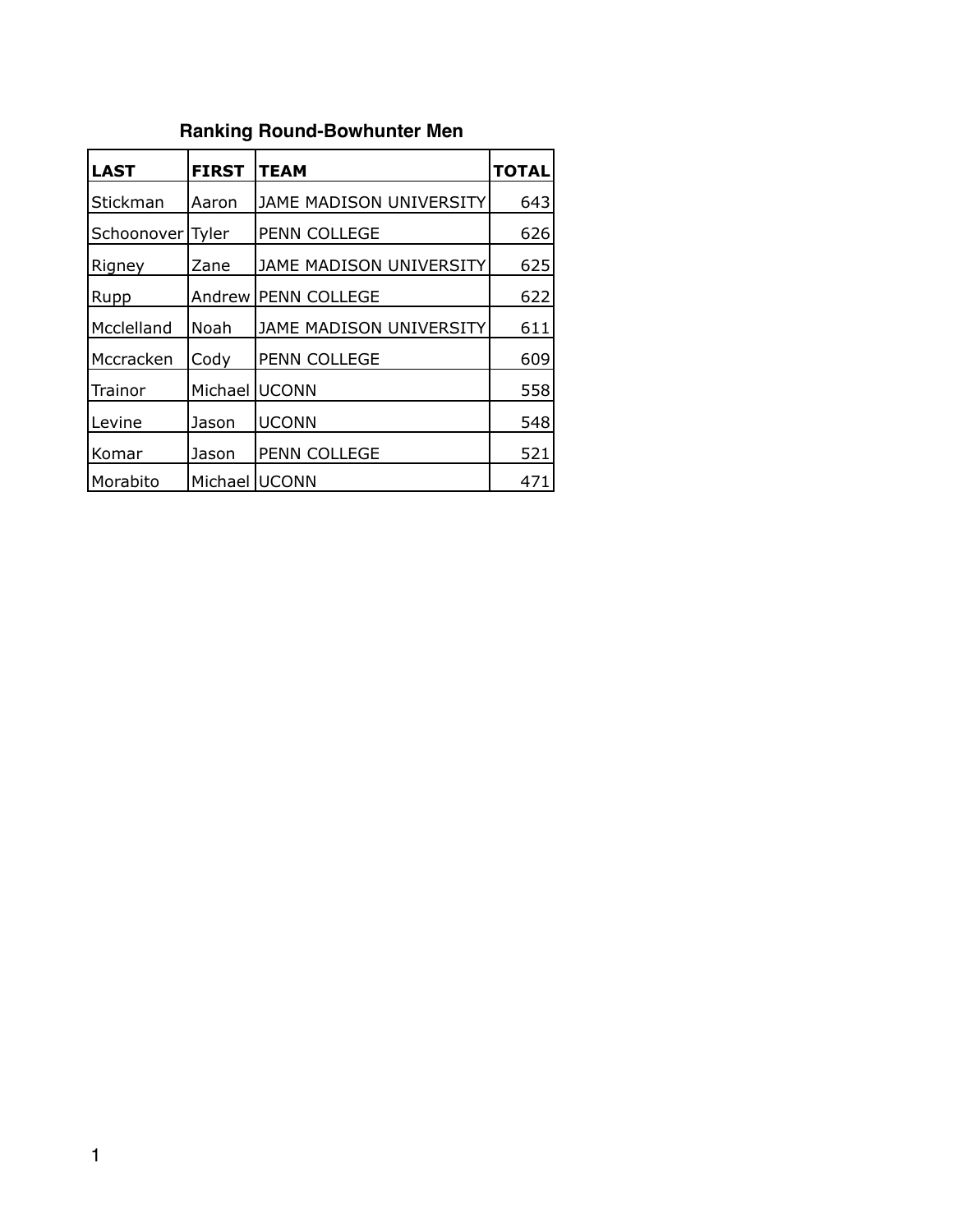# **Ranking Round-Bowhunter Men**

| <b>LAST</b>      | <b>FIRST</b>  | <b>TEAM</b>             | <b>TOTAL</b> |
|------------------|---------------|-------------------------|--------------|
| Stickman         | Aaron         | JAME MADISON UNIVERSITY | 643          |
| Schoonover Tyler |               | PENN COLLEGE            | 626          |
| Rigney           | Zane          | JAME MADISON UNIVERSITY | 625          |
| Rupp             | Andrew        | PENN COLLEGE            | 622          |
| Mcclelland       | Noah          | JAME MADISON UNIVERSITY | 611          |
| Mccracken        | Cody          | PENN COLLEGE            | 609          |
| Trainor          | Michael UCONN |                         | 558          |
| Levine           | Jason         | <b>UCONN</b>            | 548          |
| Komar            | Jason         | PENN COLLEGE            | 521          |
| Morabito         | Michael UCONN |                         | 471          |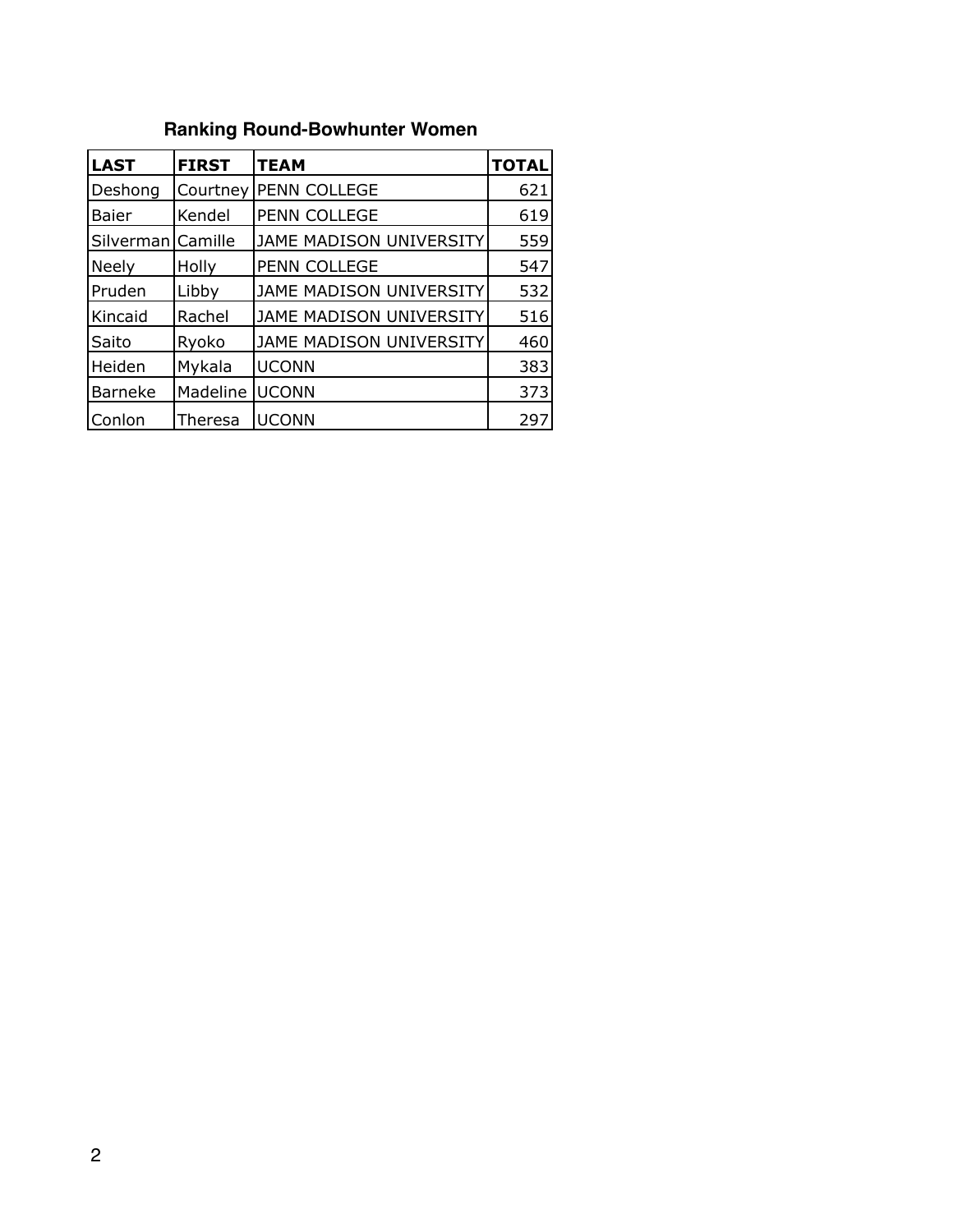# **Ranking Round-Bowhunter Women**

| <b>LAST</b>    | <b>FIRST</b> | <b>TEAM</b>             | <b>TOTAL</b> |
|----------------|--------------|-------------------------|--------------|
| Deshong        | Courtney     | PENN COLLEGE            | 621          |
| Baier          | Kendel       | PENN COLLEGE            | 619          |
| Silverman      | Camille      | JAME MADISON UNIVERSITY | 559          |
| <b>Neely</b>   | Holly        | PENN COLLEGE            | 547          |
| Pruden         | Libby        | JAME MADISON UNIVERSITY | 532          |
| Kincaid        | Rachel       | JAME MADISON UNIVERSITY | 516          |
| Saito          | Ryoko        | JAME MADISON UNIVERSITY | 460          |
| Heiden         | Mykala       | <b>UCONN</b>            | 383          |
| <b>Barneke</b> | Madeline     | <b>JUCONN</b>           | 373          |
| Conlon         | Theresa      | <b>UCONN</b>            | 297          |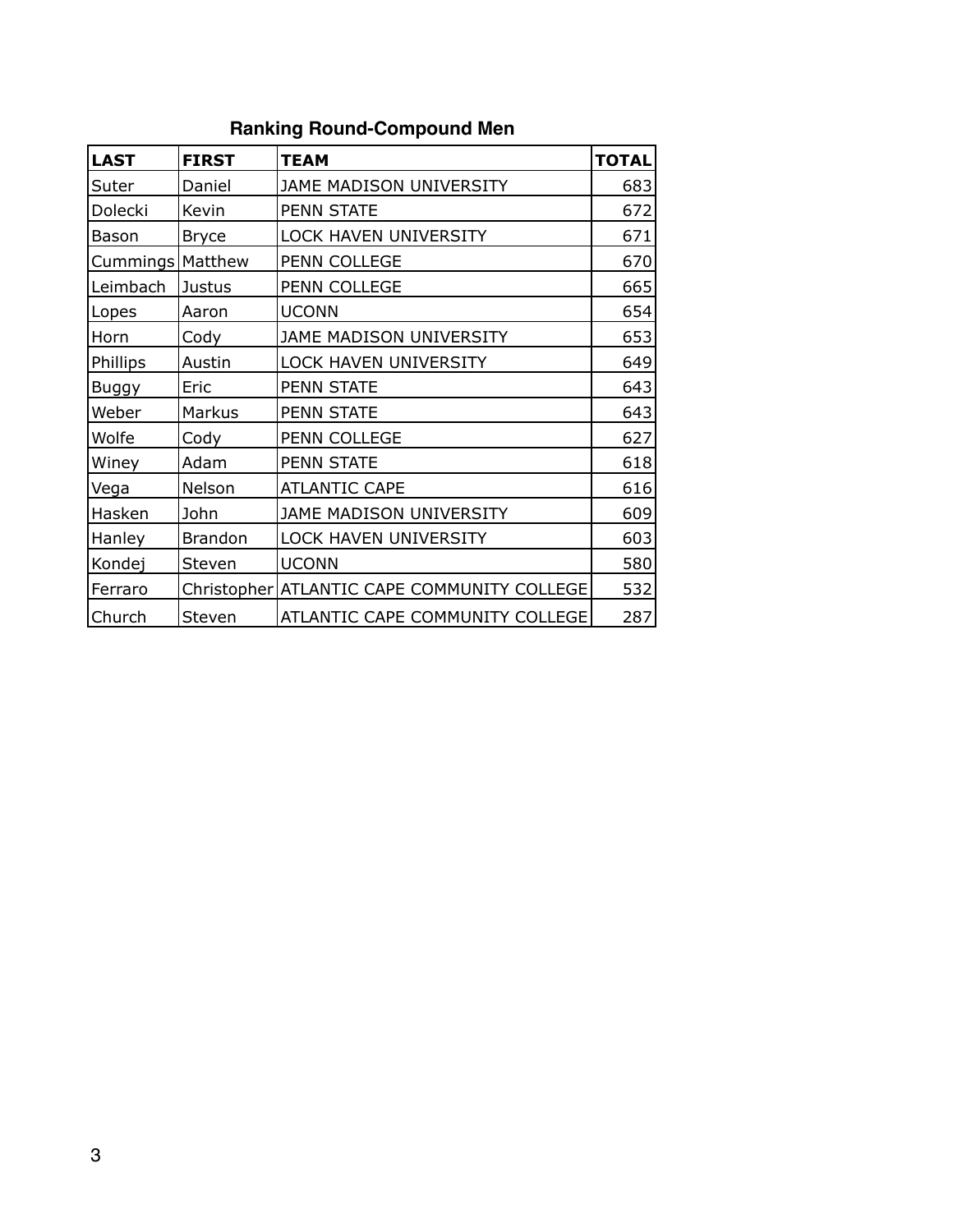| <b>LAST</b>        | <b>FIRST</b>   | <b>TEAM</b>                                   | <b>TOTAL</b> |
|--------------------|----------------|-----------------------------------------------|--------------|
| Suter              | Daniel         | JAME MADISON UNIVERSITY                       | 683          |
| Dolecki            | Kevin          | <b>PENN STATE</b>                             | 672          |
| Bason              | <b>Bryce</b>   | <b>LOCK HAVEN UNIVERSITY</b>                  | 671          |
| Cummings   Matthew |                | PENN COLLEGE                                  | 670          |
| Leimbach           | <b>Justus</b>  | PENN COLLEGE                                  | 665          |
| Lopes              | Aaron          | <b>UCONN</b>                                  | 654          |
| Horn               | Cody           | JAME MADISON UNIVERSITY                       | 653          |
| Phillips           | Austin         | <b>LOCK HAVEN UNIVERSITY</b>                  | 649          |
| <b>Buggy</b>       | Eric           | <b>PENN STATE</b>                             | 643          |
| Weber              | Markus         | <b>PENN STATE</b>                             | 643          |
| Wolfe              | Cody           | PENN COLLEGE                                  | 627          |
| Winey              | Adam           | <b>PENN STATE</b>                             | 618          |
| Vega               | Nelson         | <b>ATLANTIC CAPE</b>                          | 616          |
| Hasken             | John           | JAME MADISON UNIVERSITY                       | 609          |
| Hanley             | <b>Brandon</b> | <b>LOCK HAVEN UNIVERSITY</b>                  | 603          |
| Kondej             | Steven         | <b>UCONN</b>                                  | 580          |
| Ferraro            |                | Christopher   ATLANTIC CAPE COMMUNITY COLLEGE | 532          |
| Church             | Steven         | ATLANTIC CAPE COMMUNITY COLLEGE               | 287          |

#### **Ranking Round-Compound Men**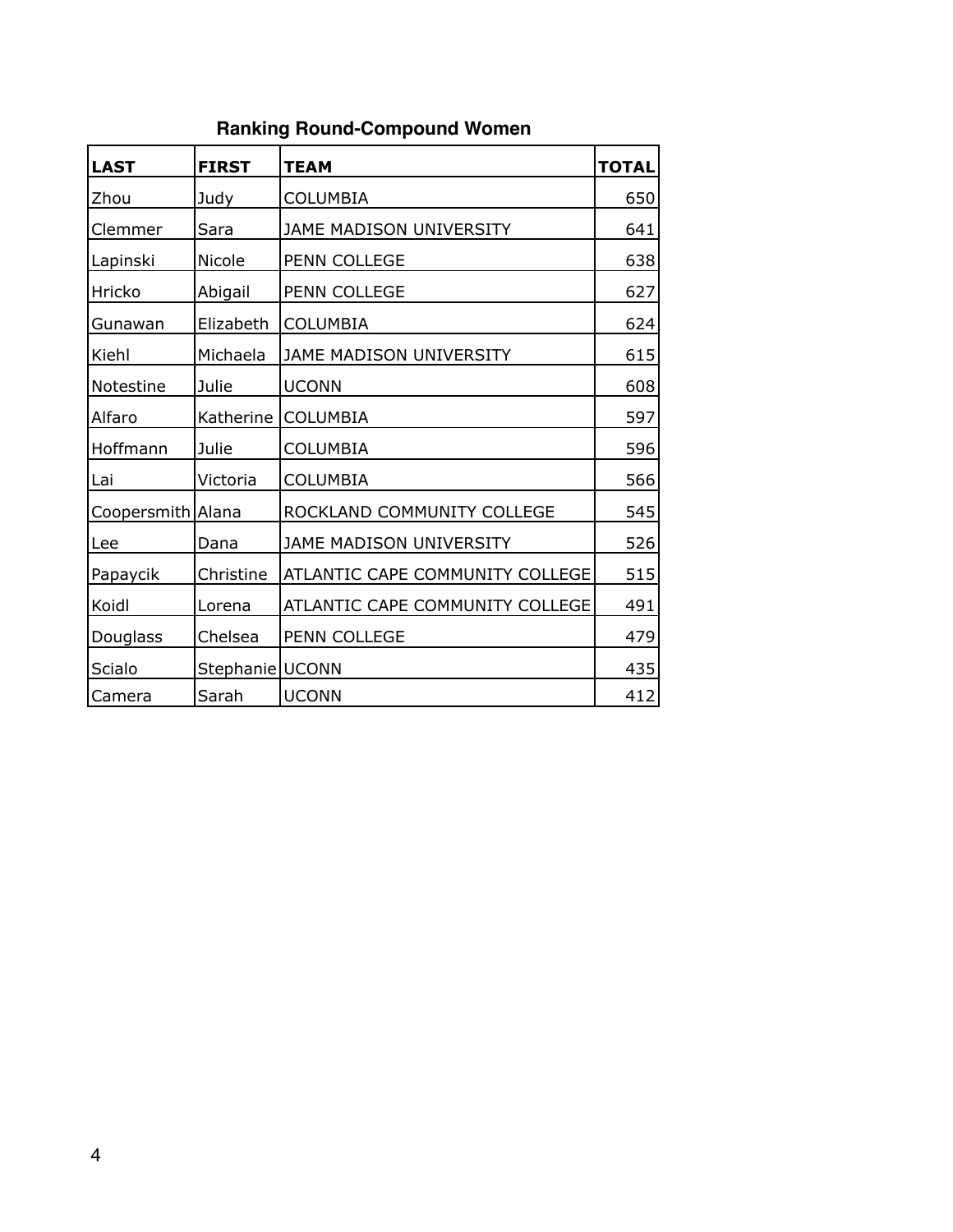# **Ranking Round-Compound Women**

| <b>LAST</b>       | <b>FIRST</b>      | <b>TEAM</b>                     | <b>TOTAL</b> |
|-------------------|-------------------|---------------------------------|--------------|
| Zhou              | Judy              | <b>COLUMBIA</b>                 | 650          |
| Clemmer           | Sara              | <b>JAME MADISON UNIVERSITY</b>  | 641          |
| Lapinski          | Nicole            | PENN COLLEGE                    | 638          |
| Hricko            | Abigail           | PENN COLLEGE                    | 627          |
| Gunawan           | Elizabeth         | <b>COLUMBIA</b>                 | 624          |
| Kiehl             | Michaela          | JAME MADISON UNIVERSITY         | 615          |
| Notestine         | Julie             | <b>UCONN</b>                    | 608          |
| Alfaro            | Katherine         | <b>COLUMBIA</b>                 | 597          |
| Hoffmann          | Julie             | <b>COLUMBIA</b>                 | 596          |
| Lai               | Victoria          | <b>COLUMBIA</b>                 | 566          |
| Coopersmith Alana |                   | ROCKLAND COMMUNITY COLLEGE      | 545          |
| Lee               | Dana              | JAME MADISON UNIVERSITY         | 526          |
| Papaycik          | Christine         | ATLANTIC CAPE COMMUNITY COLLEGE | 515          |
| Koidl             | Lorena            | ATLANTIC CAPE COMMUNITY COLLEGE | 491          |
| Douglass          | Chelsea           | PENN COLLEGE                    | 479          |
| Scialo            | Stephanie   UCONN |                                 | 435          |
| Camera            | Sarah             | <b>UCONN</b>                    | 412          |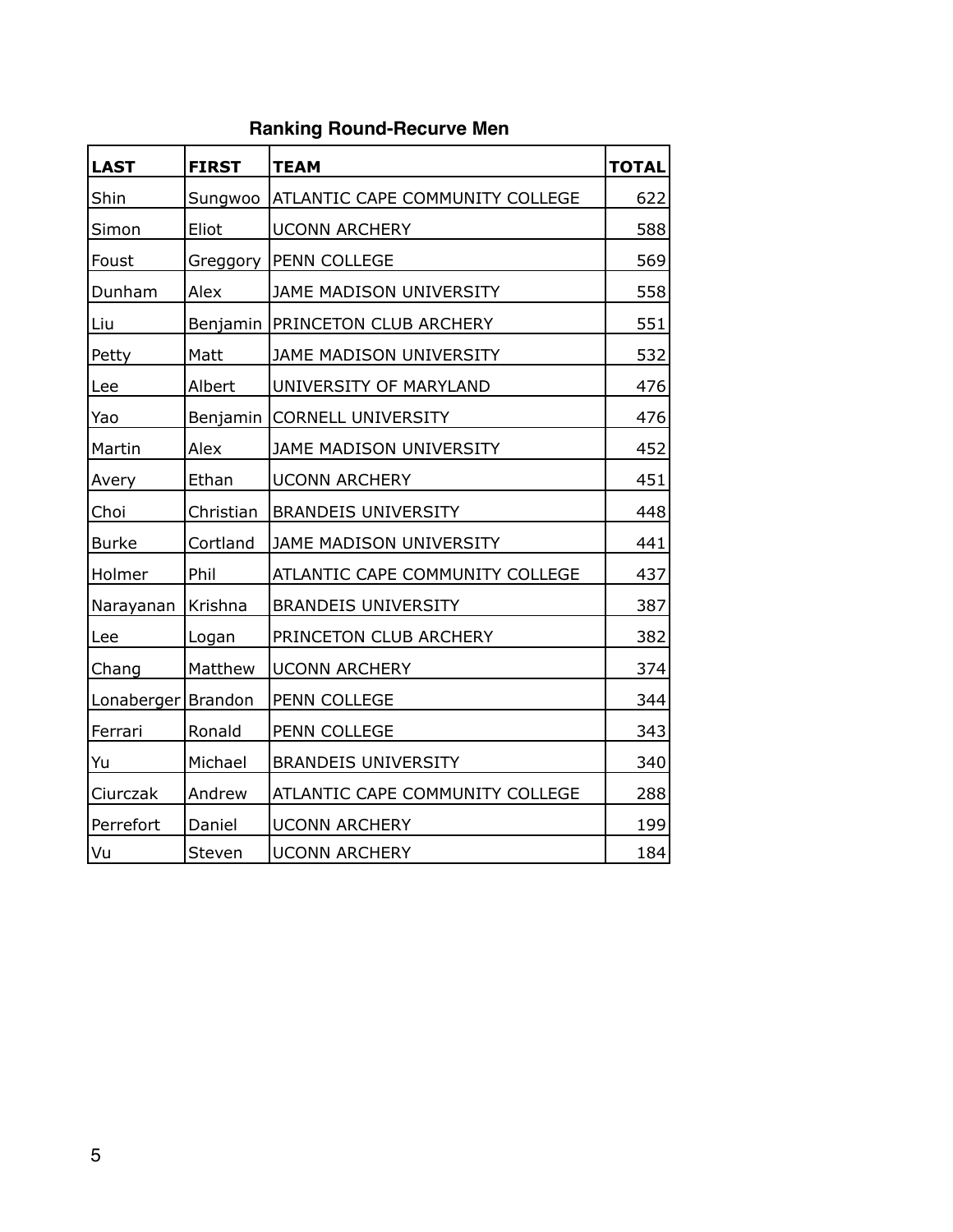## **Ranking Round-Recurve Men**

| <b>LAST</b>          | <b>FIRST</b> | <b>TEAM</b>                            | <b>TOTAL</b> |
|----------------------|--------------|----------------------------------------|--------------|
| Shin                 | Sungwoo      | <b>ATLANTIC CAPE COMMUNITY COLLEGE</b> | 622          |
| Simon                | Eliot        | <b>UCONN ARCHERY</b>                   | 588          |
| Foust                | Greggory     | <b>PENN COLLEGE</b>                    | 569          |
| Dunham               | Alex         | JAME MADISON UNIVERSITY                | 558          |
| Liu                  |              | Benjamin   PRINCETON CLUB ARCHERY      | 551          |
| Petty                | Matt         | JAME MADISON UNIVERSITY                | 532          |
| Lee                  | Albert       | UNIVERSITY OF MARYLAND                 | 476          |
| Yao                  |              | Benjamin CORNELL UNIVERSITY            | 476          |
| Martin               | Alex         | JAME MADISON UNIVERSITY                | 452          |
| Avery                | Ethan        | <b>UCONN ARCHERY</b>                   | 451          |
| Choi                 | Christian    | <b>BRANDEIS UNIVERSITY</b>             | 448          |
| <b>Burke</b>         | Cortland     | JAME MADISON UNIVERSITY                | 441          |
| Holmer               | Phil         | ATLANTIC CAPE COMMUNITY COLLEGE        | 437          |
| Narayanan            | Krishna      | <b>BRANDEIS UNIVERSITY</b>             | 387          |
| Lee                  | Logan        | PRINCETON CLUB ARCHERY                 | 382          |
| Chang                | Matthew      | <b>UCONN ARCHERY</b>                   | 374          |
| Lonaberger   Brandon |              | PENN COLLEGE                           | 344          |
| Ferrari              | Ronald       | PENN COLLEGE                           | 343          |
| Yu                   | Michael      | <b>BRANDEIS UNIVERSITY</b>             | 340          |
| Ciurczak             | Andrew       | ATLANTIC CAPE COMMUNITY COLLEGE        | 288          |
| Perrefort            | Daniel       | <b>UCONN ARCHERY</b>                   | 199          |
| Vu                   | Steven       | <b>UCONN ARCHERY</b>                   | 184          |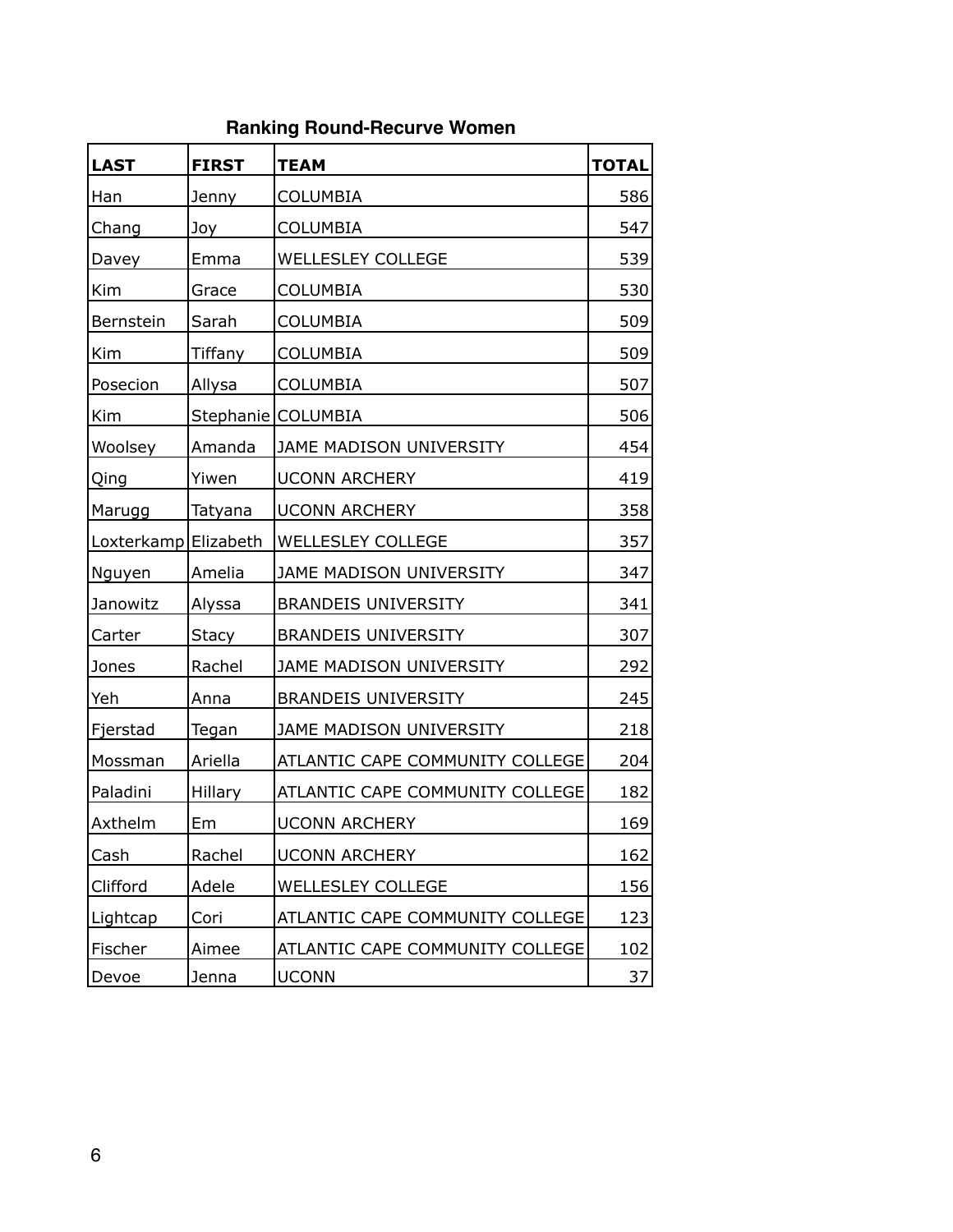## **Ranking Round-Recurve Women**

| <b>LAST</b>          | <b>FIRST</b>   | <b>TEAM</b>                     | <b>TOTAL</b> |
|----------------------|----------------|---------------------------------|--------------|
| Han                  | Jenny          | <b>COLUMBIA</b>                 | 586          |
| Chang                | Joy            | <b>COLUMBIA</b>                 | 547          |
| Davey                | Emma           | <b>WELLESLEY COLLEGE</b>        | 539          |
| Kim                  | Grace          | <b>COLUMBIA</b>                 | 530          |
| Bernstein            | Sarah          | COLUMBIA                        | 509          |
| Kim                  | <b>Tiffany</b> | COLUMBIA                        | 509          |
| Posecion             | Allysa         | <b>COLUMBIA</b>                 | 507          |
| Kim                  |                | Stephanie   COLUMBIA            | 506          |
| Woolsey              | Amanda         | JAME MADISON UNIVERSITY         | 454          |
| Qing                 | Yiwen          | <b>UCONN ARCHERY</b>            | 419          |
| Marugg               | Tatyana        | <b>UCONN ARCHERY</b>            | 358          |
| Loxterkamp Elizabeth |                | <b>WELLESLEY COLLEGE</b>        | 357          |
| Nguyen               | Amelia         | JAME MADISON UNIVERSITY         | 347          |
| Janowitz             | Alyssa         | <b>BRANDEIS UNIVERSITY</b>      | 341          |
| Carter               | Stacy          | <b>BRANDEIS UNIVERSITY</b>      | 307          |
| Jones                | Rachel         | JAME MADISON UNIVERSITY         | 292          |
| Yeh                  | Anna           | <b>BRANDEIS UNIVERSITY</b>      | 245          |
| Fjerstad             | Tegan          | JAME MADISON UNIVERSITY         | 218          |
| Mossman              | Ariella        | ATLANTIC CAPE COMMUNITY COLLEGE | 204          |
| Paladini             | Hillary        | ATLANTIC CAPE COMMUNITY COLLEGE | 182          |
| Axthelm              | Em             | <b>UCONN ARCHERY</b>            | 169          |
| Cash                 | Rachel         | <b>UCONN ARCHERY</b>            | 162          |
| Clifford             | Adele          | <b>WELLESLEY COLLEGE</b>        | 156          |
| Lightcap             | Cori           | ATLANTIC CAPE COMMUNITY COLLEGE | 123          |
| Fischer              | Aimee          | ATLANTIC CAPE COMMUNITY COLLEGE | 102          |
| Devoe                | Jenna          | <b>UCONN</b>                    | 37           |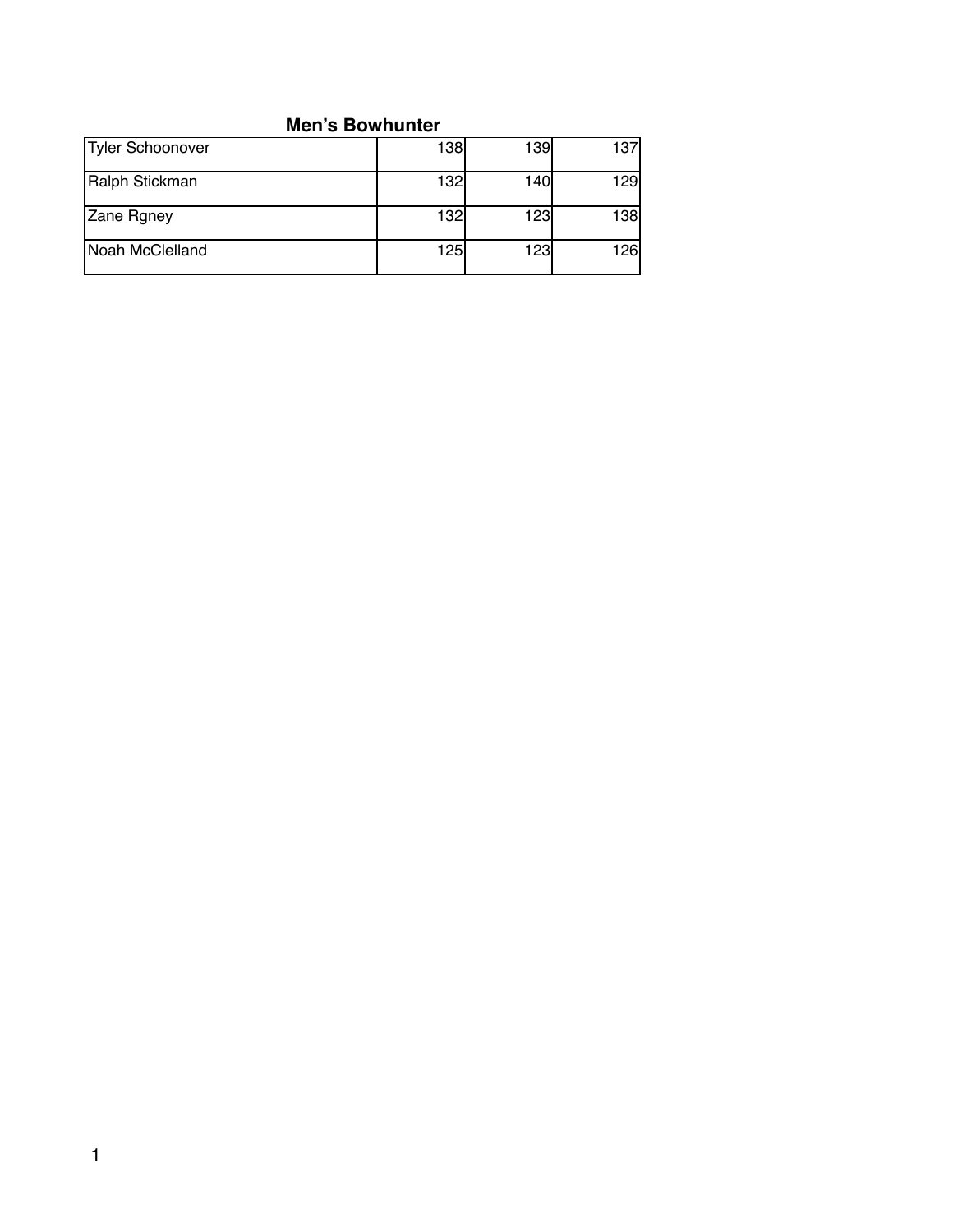#### **Men's Bowhunter**

| Tyler Schoonover | 138              | 139 | 137 |
|------------------|------------------|-----|-----|
| Ralph Stickman   | <b>132l</b>      | 140 | 129 |
| Zane Rgney       | 132 <sub>l</sub> | 123 | 138 |
| Noah McClelland  | 125l             | 123 | 126 |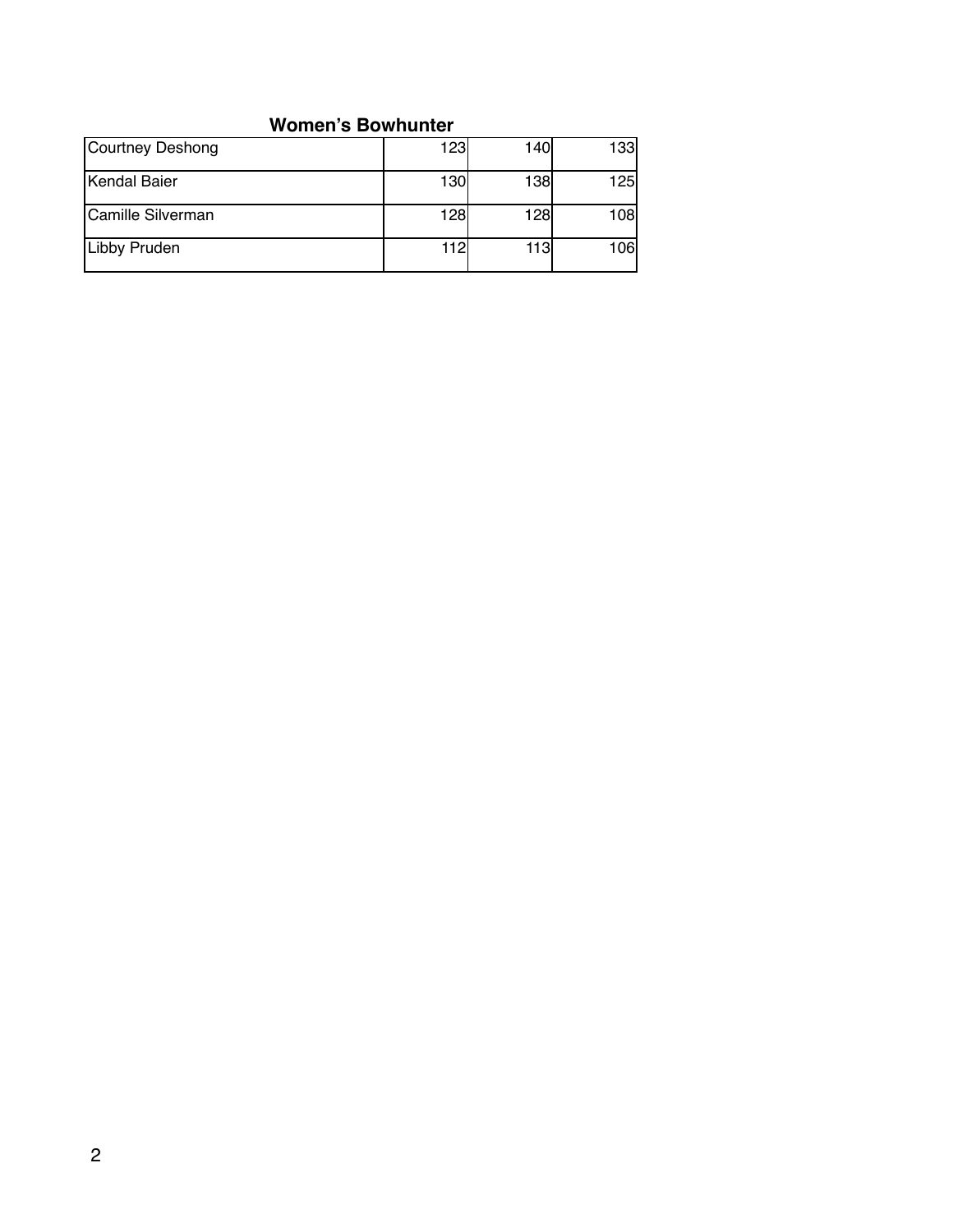#### **Women's Bowhunter**

| Courtney Deshong  | 123 | 140  | 133        |
|-------------------|-----|------|------------|
| Kendal Baier      | 130 | 138  | <b>125</b> |
| Camille Silverman | 128 | 128l | 108        |
| Libby Pruden      | 112 | 113  | 106        |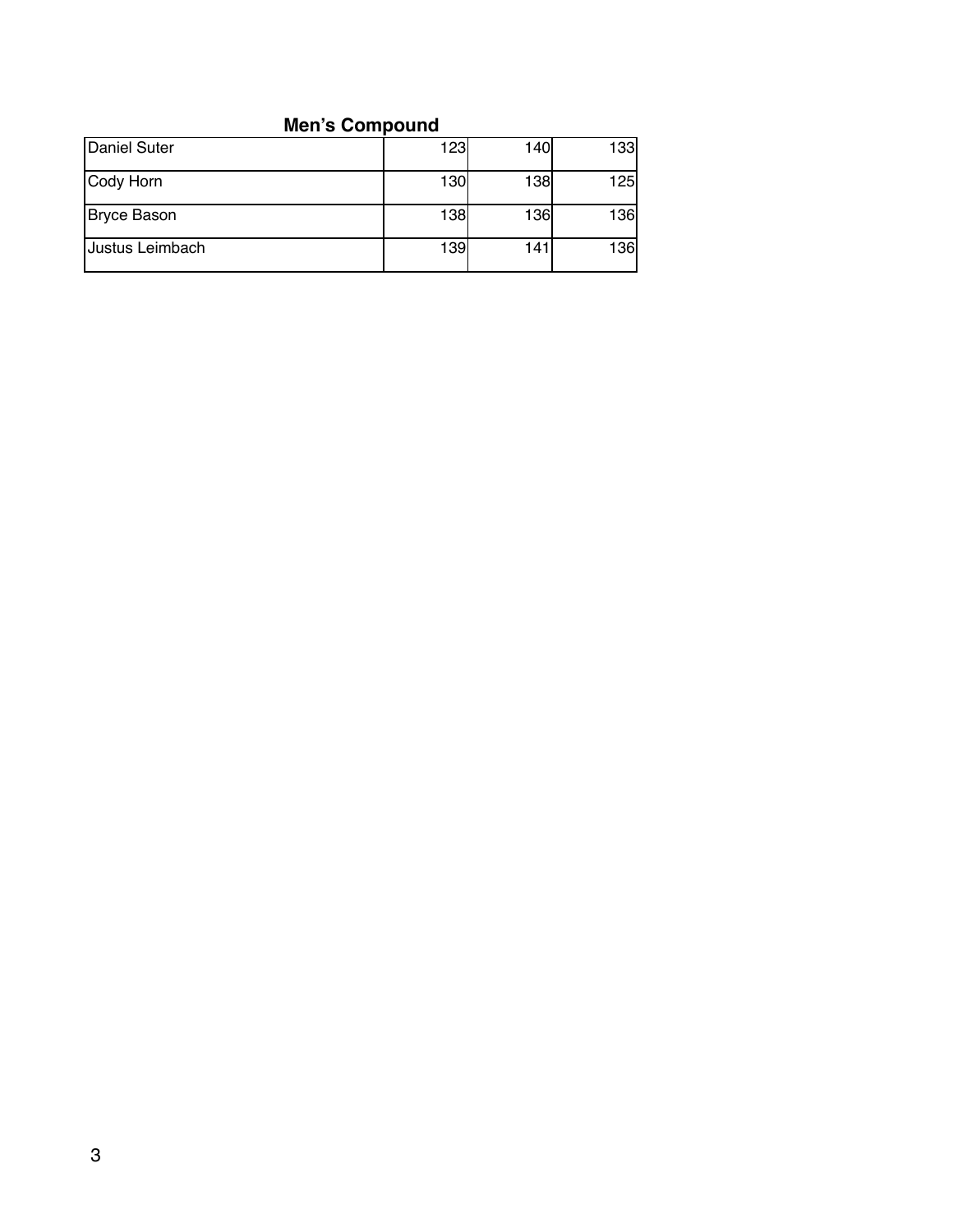# **Men's Compound**

| Daniel Suter    | 123 | 140I | 133        |
|-----------------|-----|------|------------|
| Cody Horn       | 130 | 138  | <b>125</b> |
| Bryce Bason     | 138 | 136  | <b>136</b> |
| Justus Leimbach | 139 | 141  | 136        |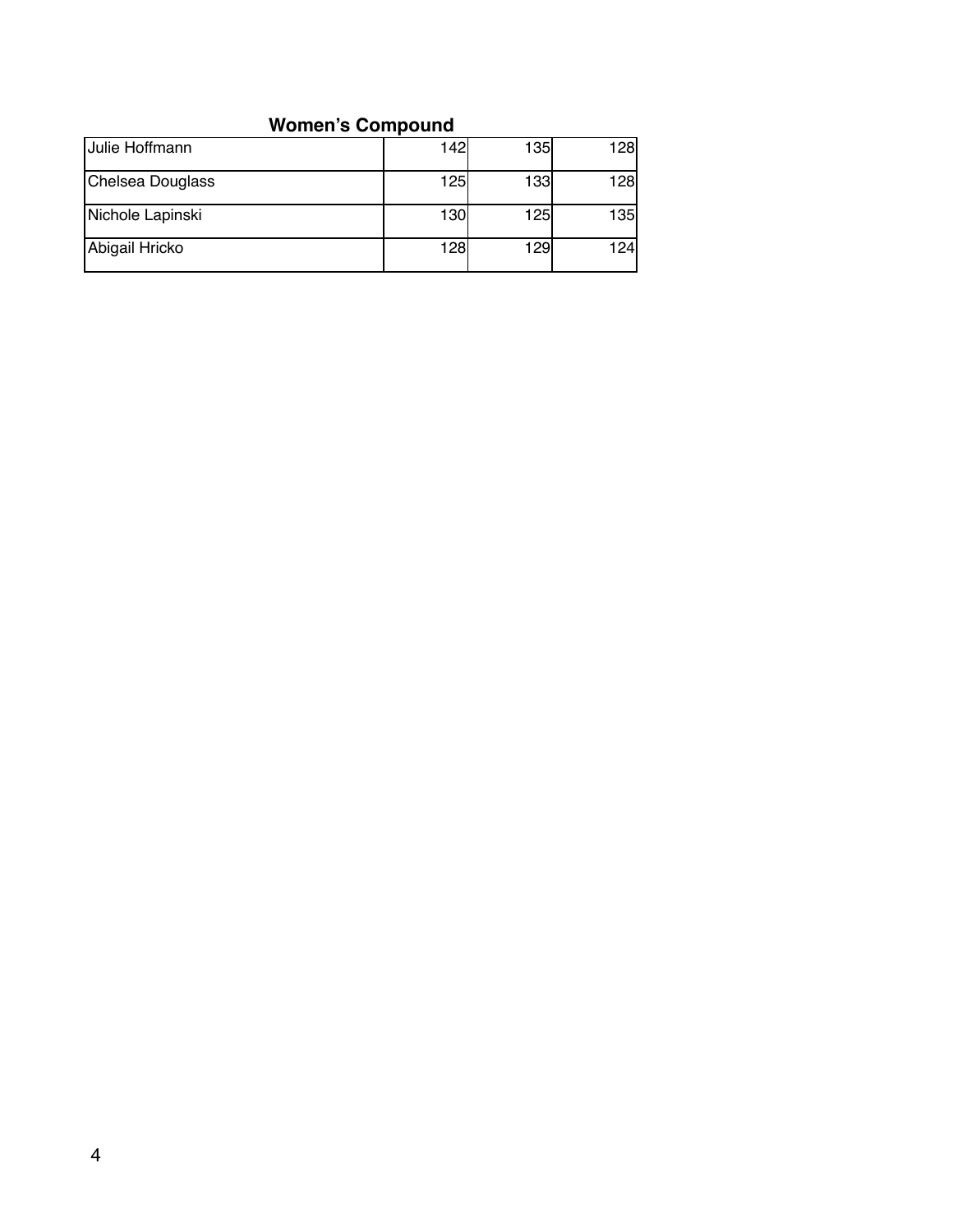## **Women's Compound**

| <b>Julie Hoffmann</b> | 142 | 135  | <b>128</b> |
|-----------------------|-----|------|------------|
| Chelsea Douglass      | 125 | 133  | <b>128</b> |
| Nichole Lapinski      | 130 | 125  | 135        |
| Abigail Hricko        | 128 | 129l | 124l       |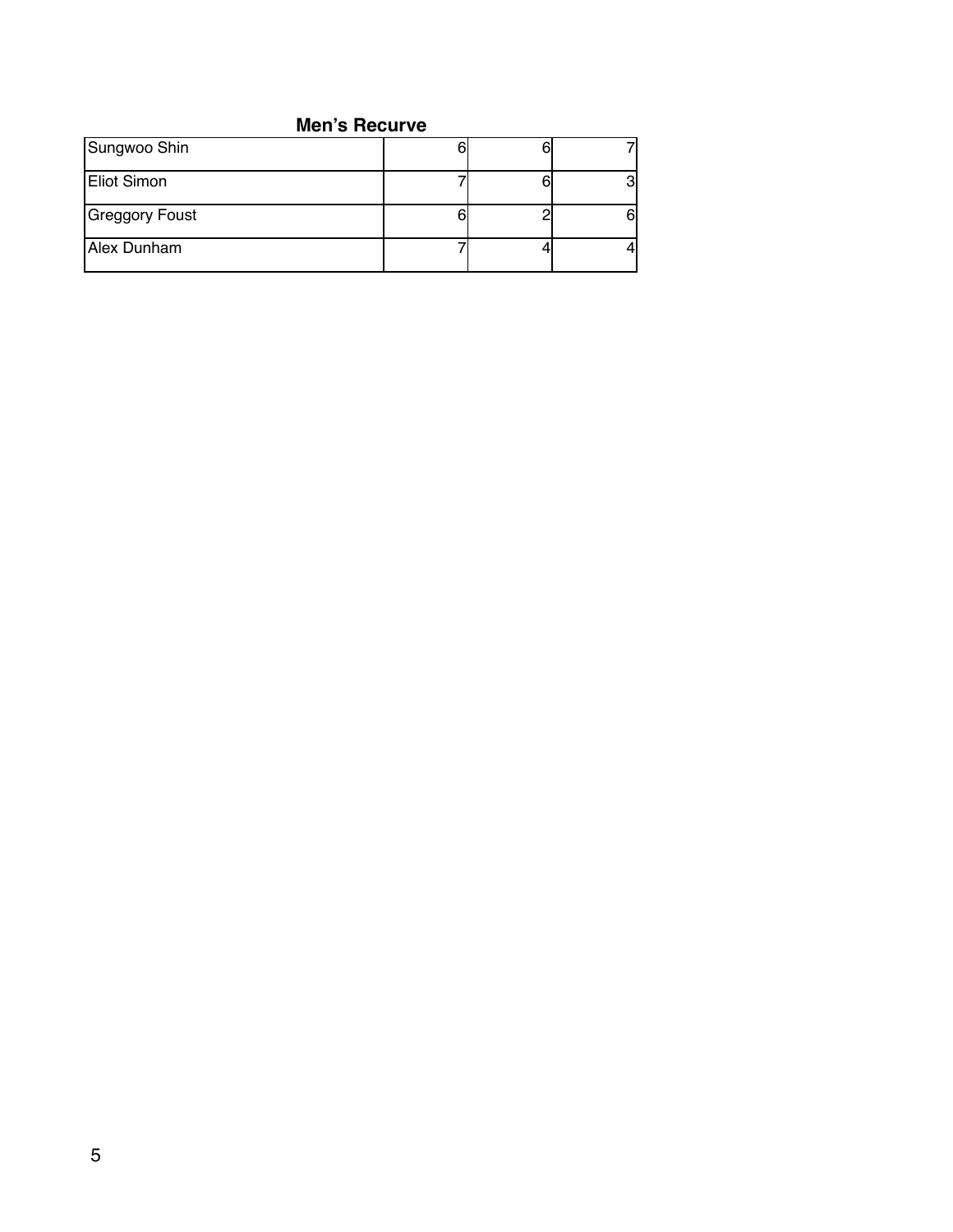#### **Men's Recurve**

| Sungwoo Shin   |  |  |
|----------------|--|--|
| Eliot Simon    |  |  |
| Greggory Foust |  |  |
| Alex Dunham    |  |  |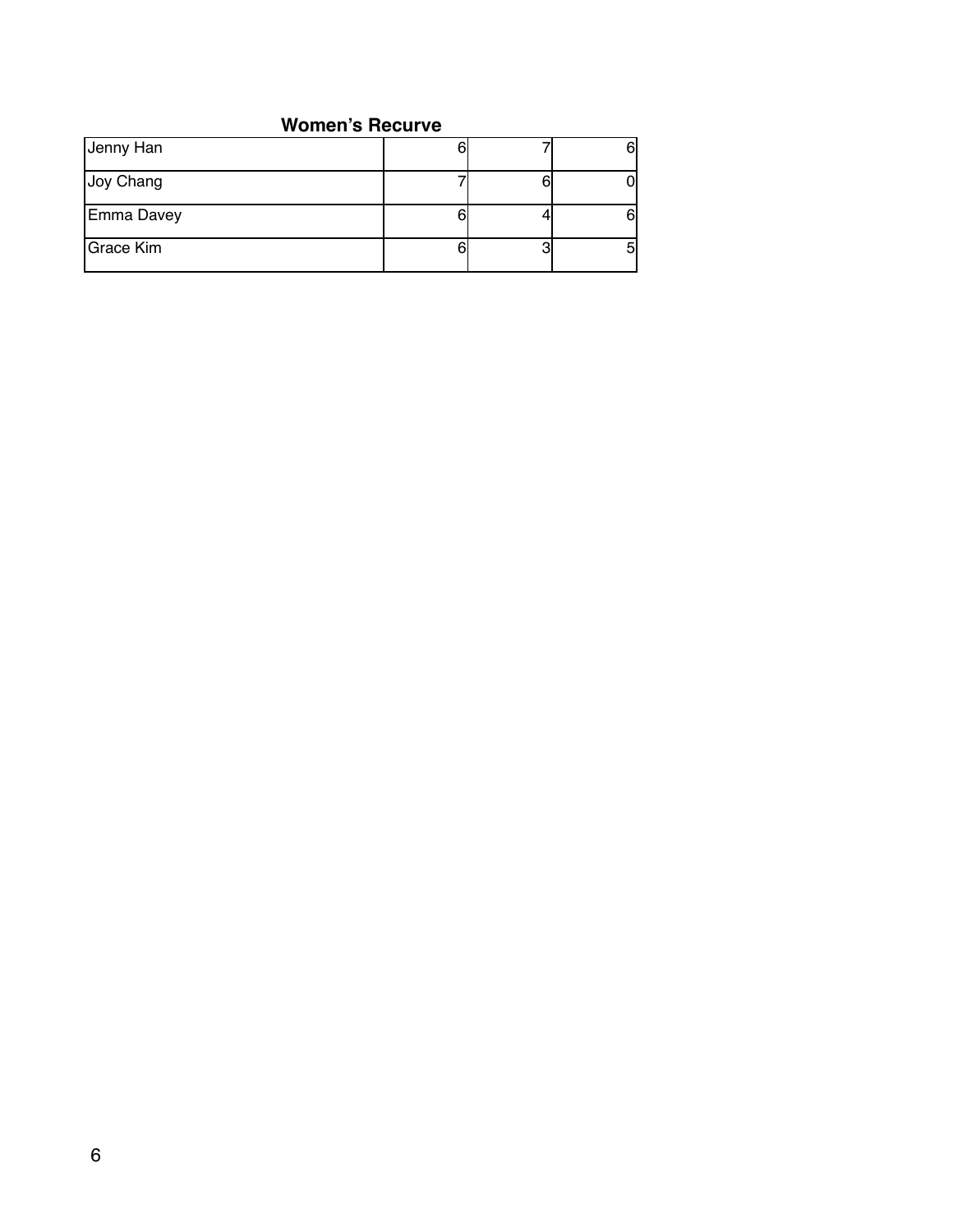#### **Women's Recurve**

| Jenny Han  |        |  |
|------------|--------|--|
| Joy Chang  |        |  |
| Emma Davey |        |  |
| Grace Kim  | ŋ<br>U |  |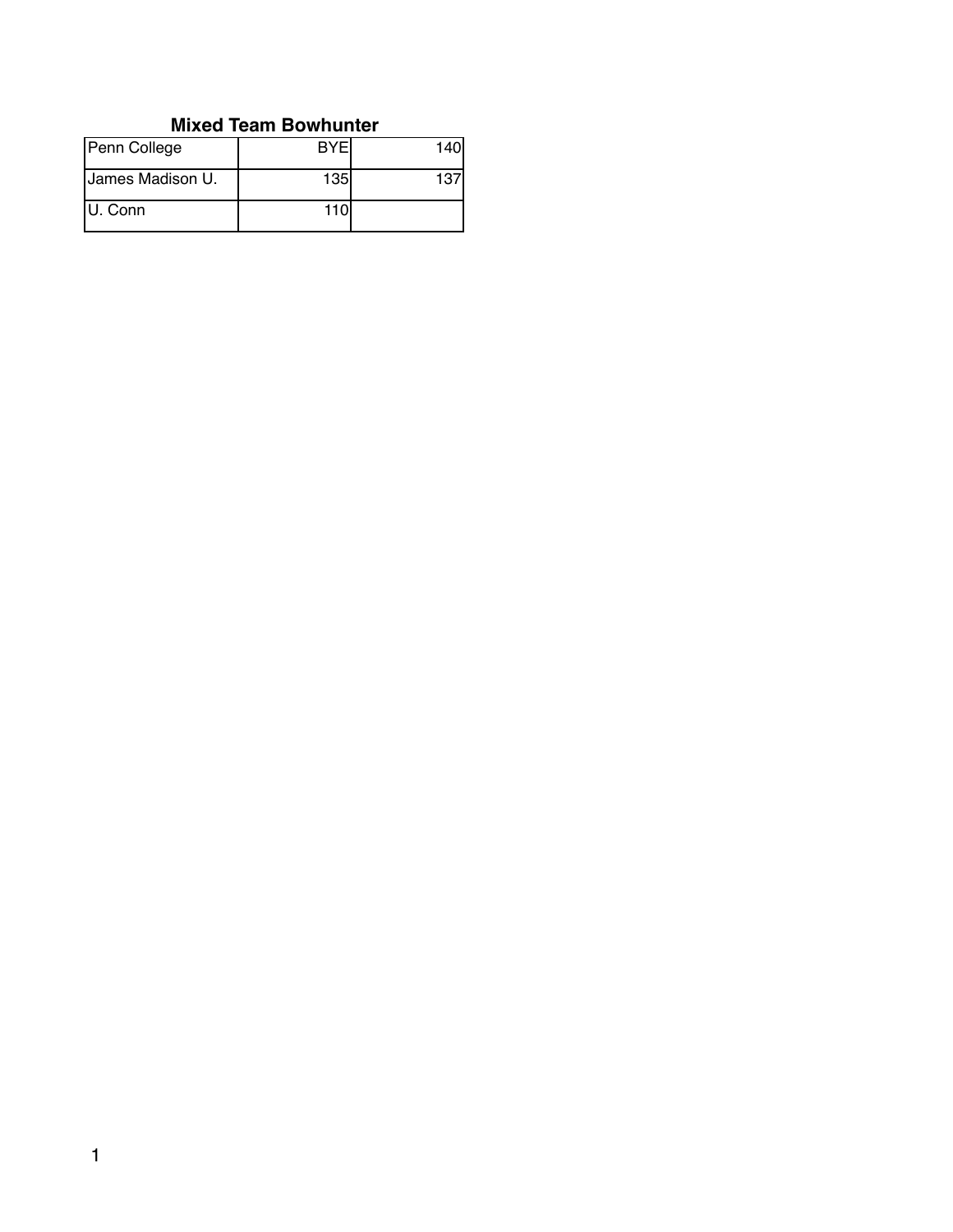#### **Mixed Team Bowhunter**

| Penn College     | <b>BYF</b> | 140 |
|------------------|------------|-----|
| James Madison U. | <b>135</b> | 137 |
| U. Conn          | 110I       |     |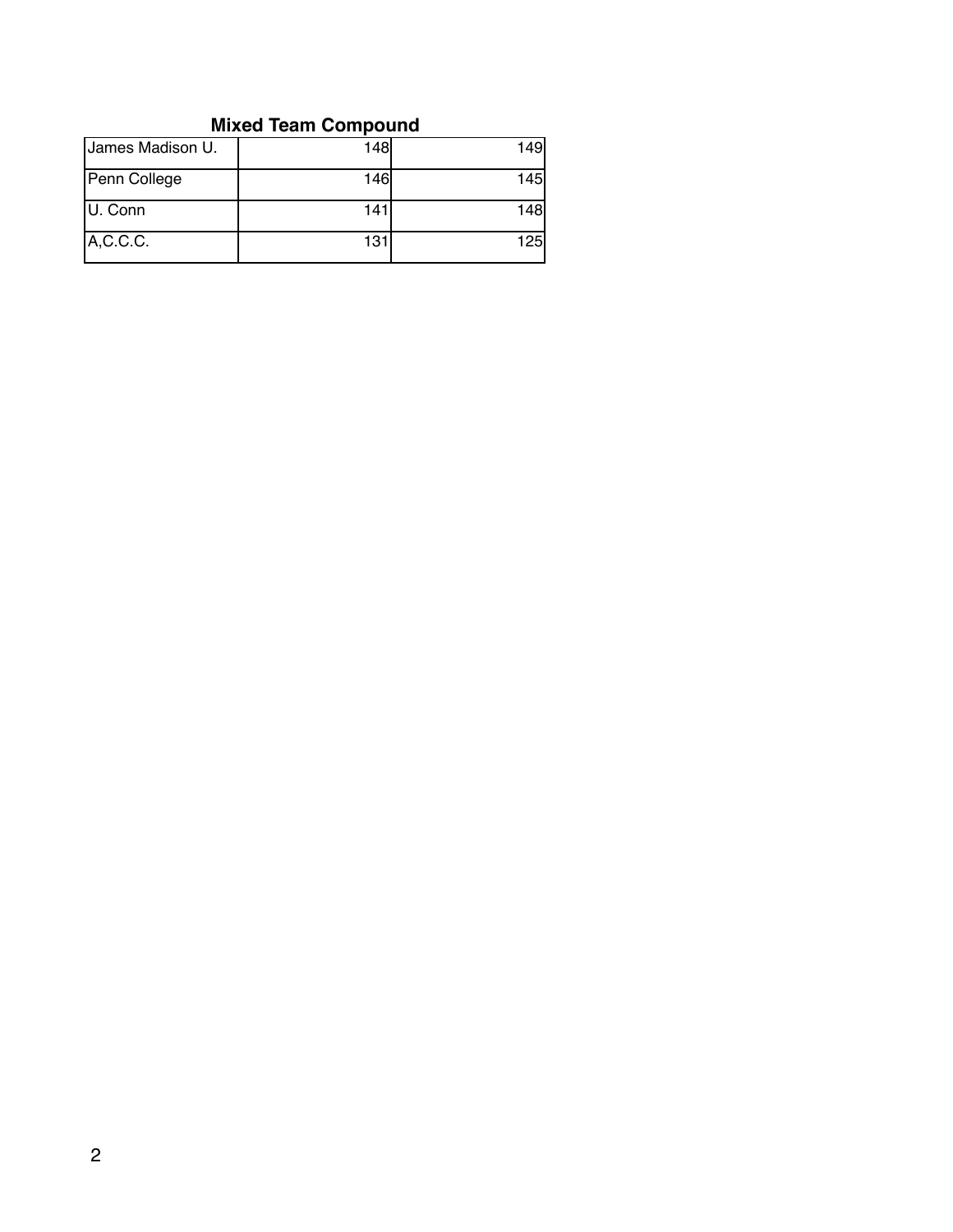# **Mixed Team Compound**

| James Madison U. | 148 | 149 |
|------------------|-----|-----|
| Penn College     | 146 | 145 |
| U. Conn          | 141 | 148 |
| A, C. C. C.      | 131 | 125 |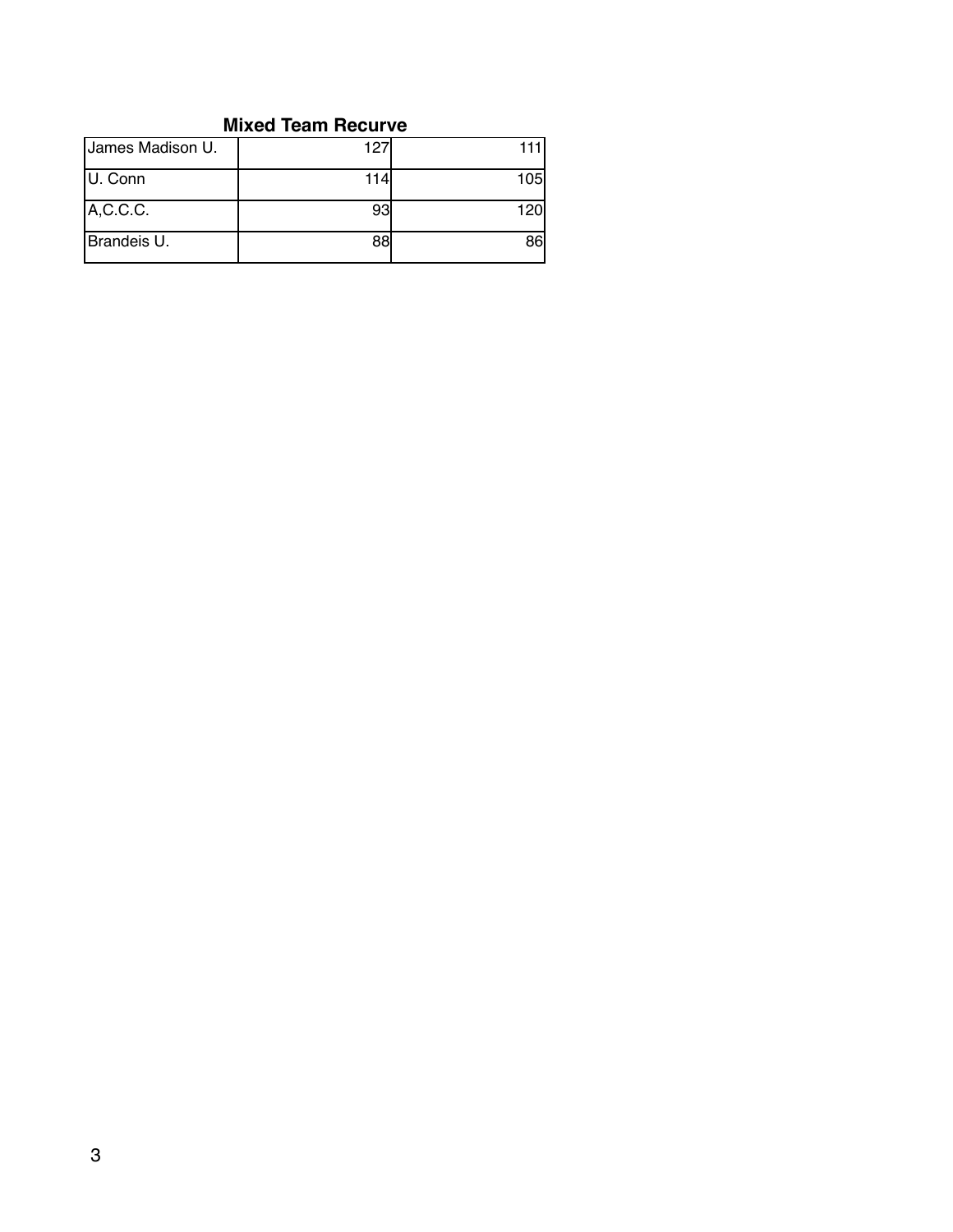#### **Mixed Team Recurve**

| James Madison U. | 127 | 111 |
|------------------|-----|-----|
| U. Conn          | 114 | 105 |
| A, C. C. C.      | 93  | 120 |
| Brandeis U.      | 88  | 86  |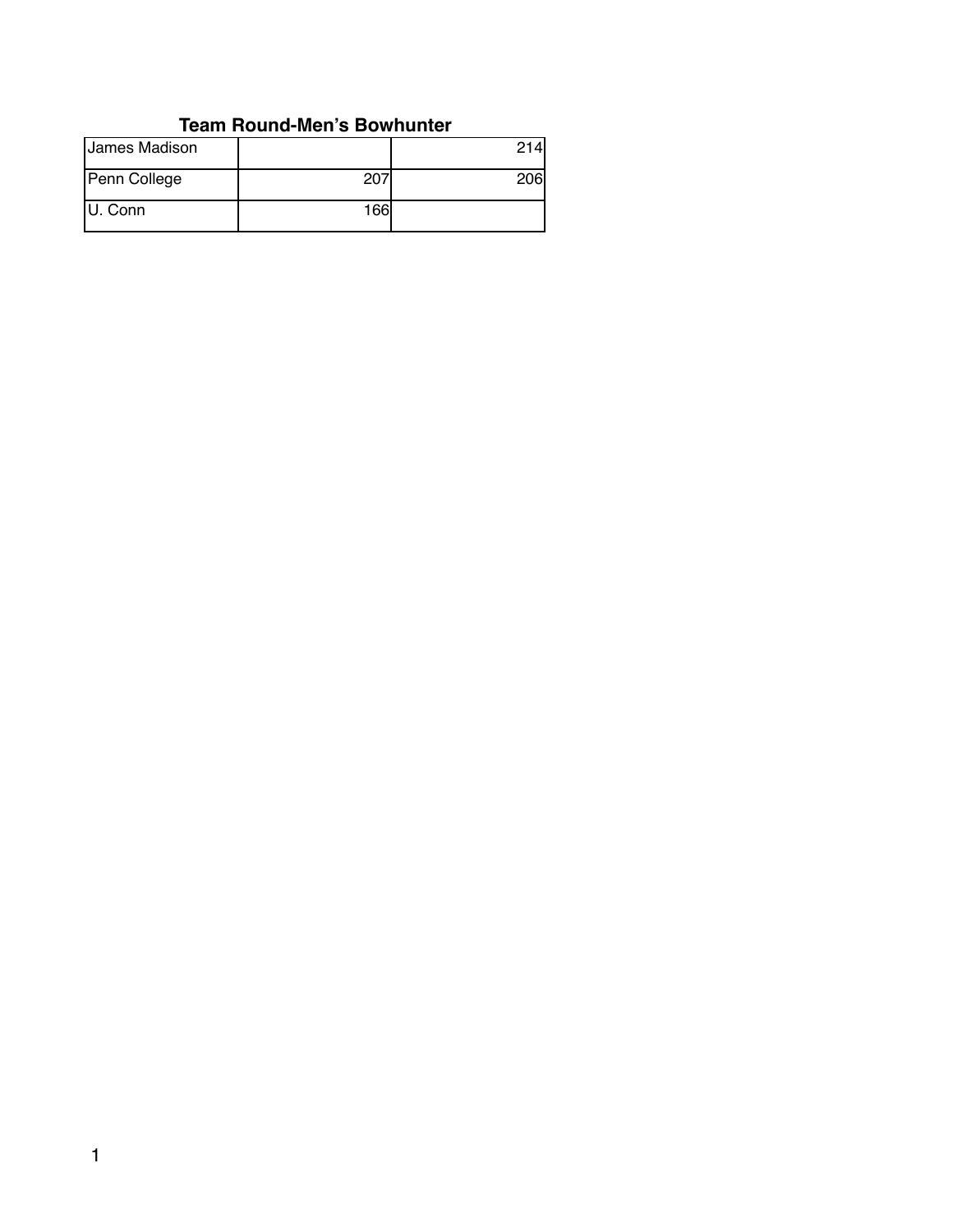## **Team Round-Men's Bowhunter**

| James Madison |     | 214l |
|---------------|-----|------|
| Penn College  | 207 | 06I  |
| U. Conn       | 166 |      |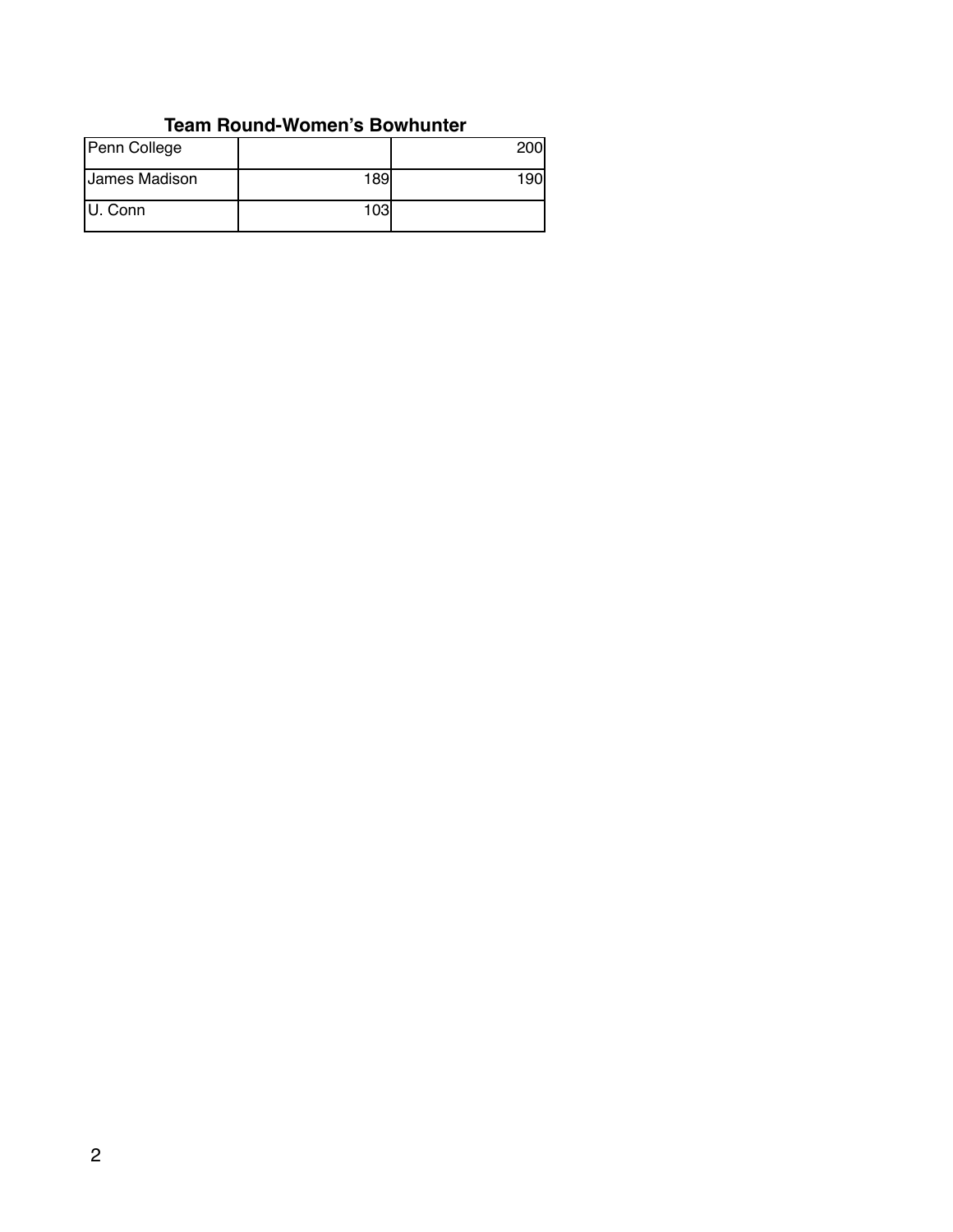#### **Team Round-Women's Bowhunter**

| Penn College  |     |     |
|---------------|-----|-----|
| James Madison | 189 | 90، |
| U. Conn       | 103 |     |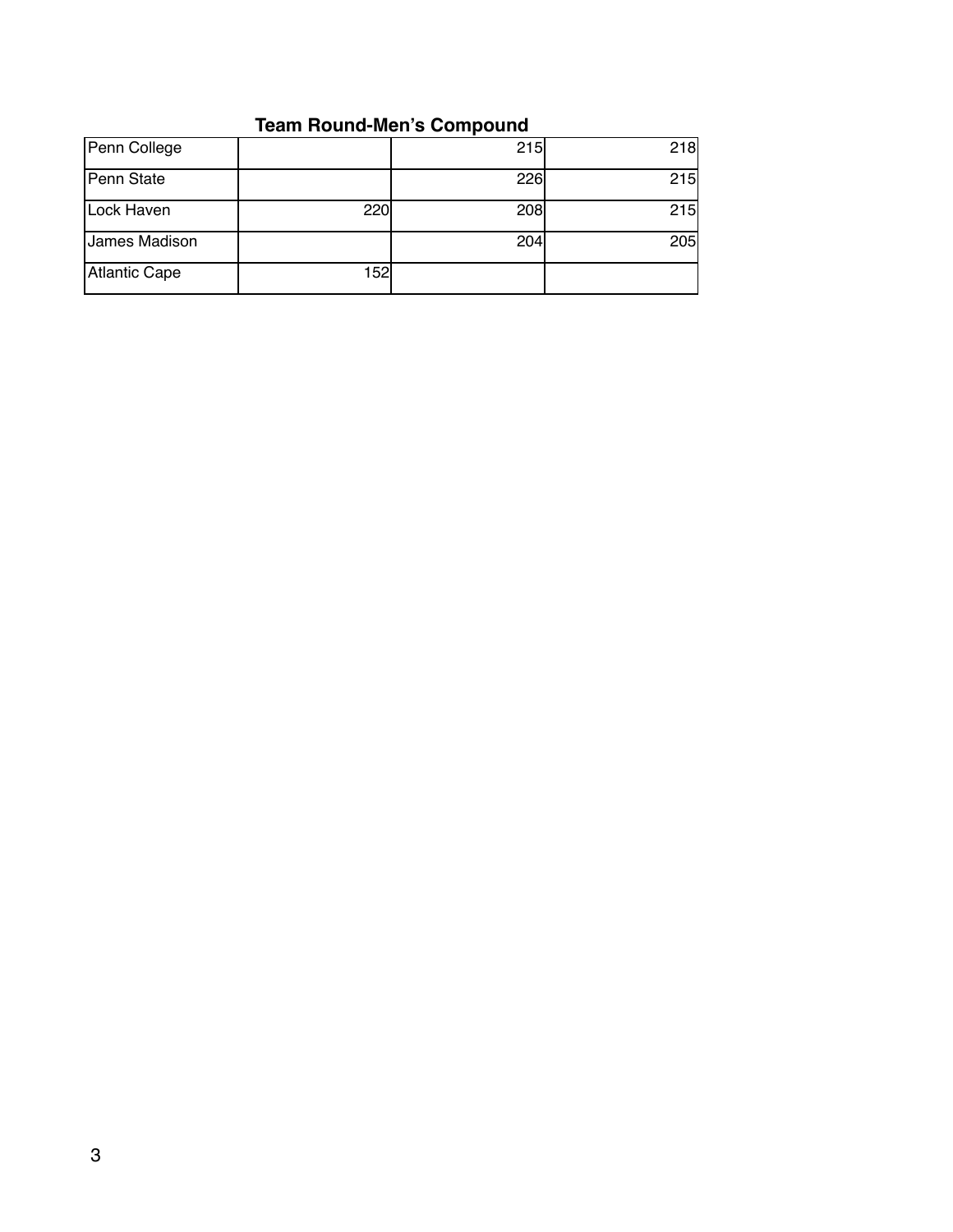# **Team Round-Men's Compound**

| Penn College  |     | 215 | 218 |
|---------------|-----|-----|-----|
| Penn State    |     | 226 | 215 |
| Lock Haven    | 220 | 208 | 215 |
| James Madison |     | 204 | 205 |
| Atlantic Cape | 152 |     |     |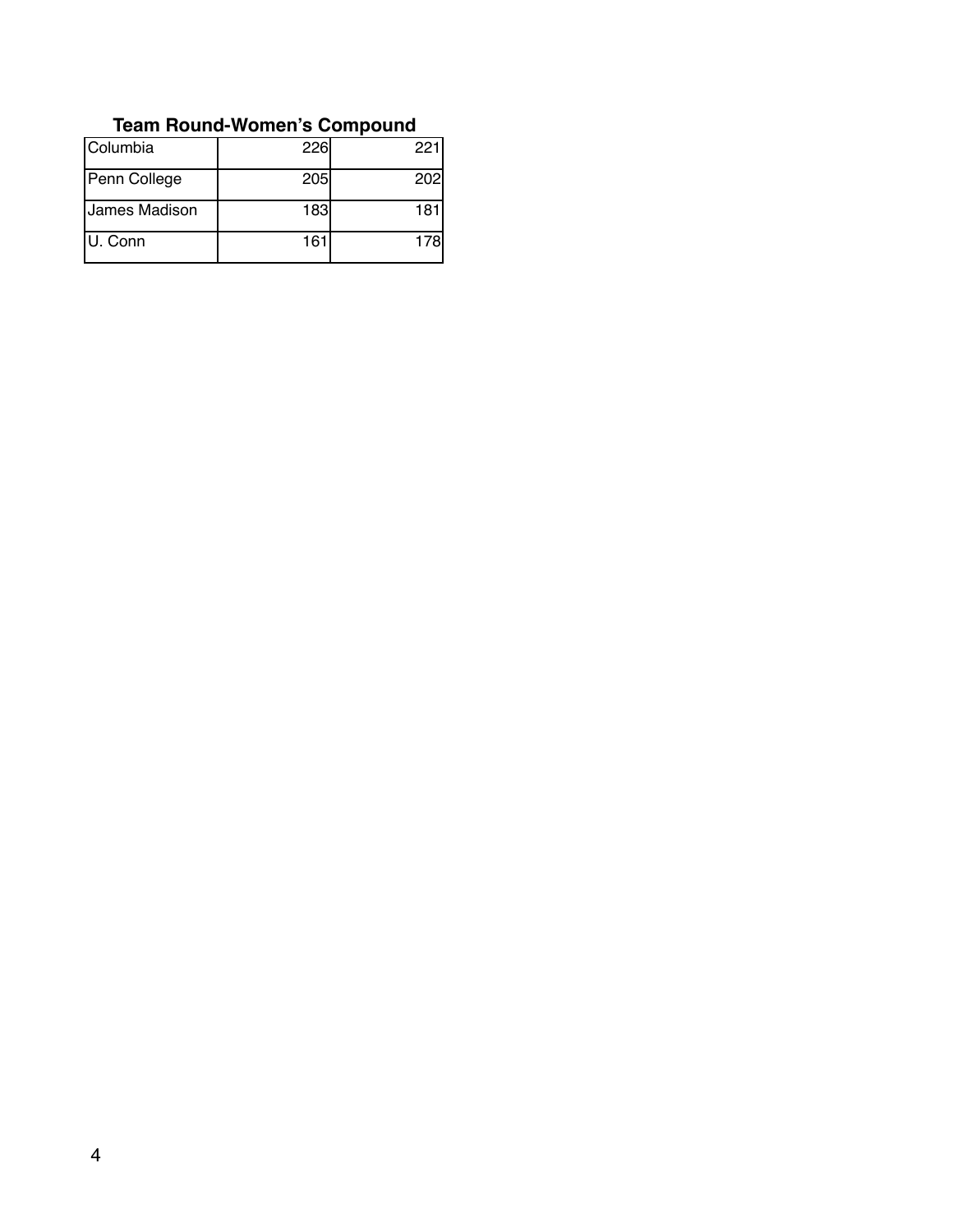| Columbia      | 226        | 221         |
|---------------|------------|-------------|
| Penn College  | <b>205</b> | <b>2021</b> |
| James Madison | 183        | 18          |
| U. Conn       | 161        | 178l        |

#### **Team Round-Women's Compound**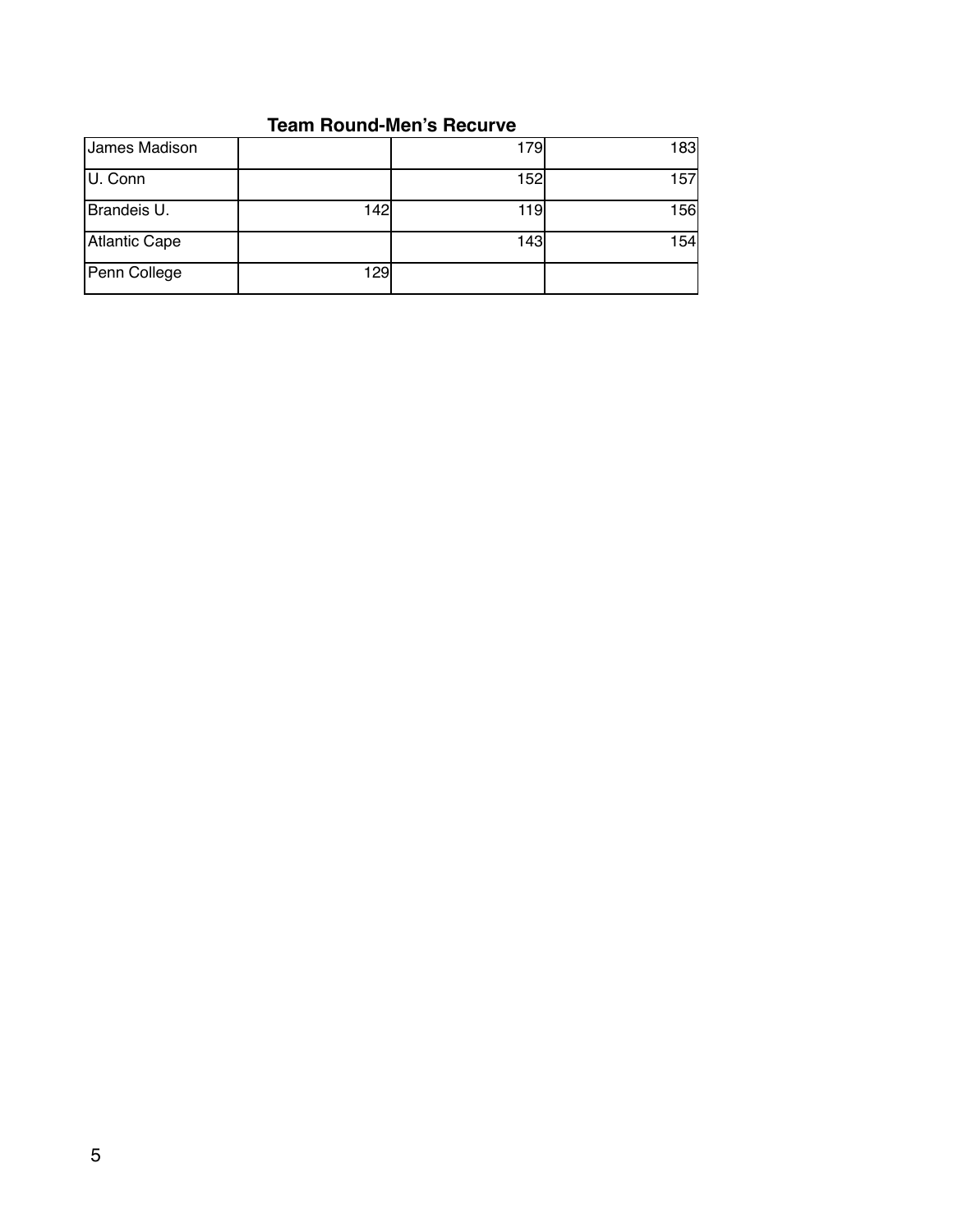#### **Team Round-Men's Recurve**

| James Madison |     | 179  | 183 |
|---------------|-----|------|-----|
| U. Conn       |     | 152  | 157 |
| Brandeis U.   | 142 | 119l | 156 |
| Atlantic Cape |     | 143  | 154 |
| Penn College  | 129 |      |     |